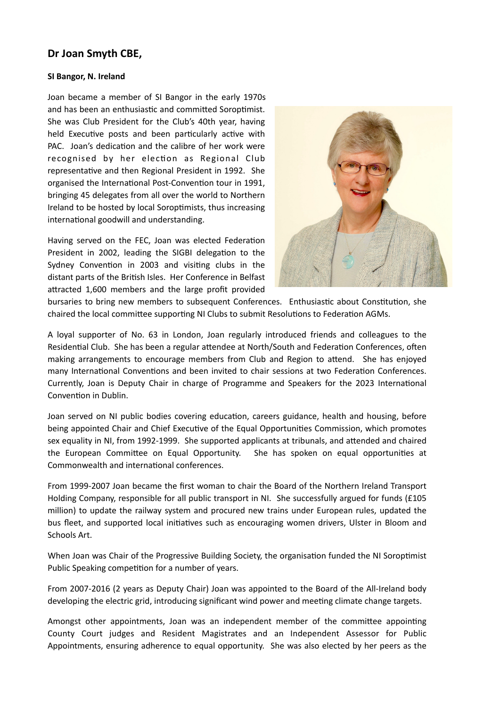## **Dr Joan Smyth CBE,**

## **SI Bangor, N. Ireland**

Joan became a member of SI Bangor in the early 1970s and has been an enthusiastic and committed Soroptimist. She was Club President for the Club's 40th year, having held Executive posts and been particularly active with PAC. Joan's dedication and the calibre of her work were recognised by her election as Regional Club representative and then Regional President in 1992. She organised the International Post-Convention tour in 1991, bringing 45 delegates from all over the world to Northern Ireland to be hosted by local Soroptimists, thus increasing international goodwill and understanding.

Having served on the FEC, Joan was elected Federation President in 2002, leading the SIGBI delegation to the Sydney Convention in 2003 and visiting clubs in the distant parts of the British Isles. Her Conference in Belfast attracted 1,600 members and the large profit provided



bursaries to bring new members to subsequent Conferences. Enthusiastic about Constitution, she chaired the local committee supporting NI Clubs to submit Resolutions to Federation AGMs.

A loyal supporter of No. 63 in London, Joan regularly introduced friends and colleagues to the Residential Club. She has been a regular attendee at North/South and Federation Conferences, often making arrangements to encourage members from Club and Region to attend. She has enjoyed many International Conventions and been invited to chair sessions at two Federation Conferences. Currently, Joan is Deputy Chair in charge of Programme and Speakers for the 2023 International Convention in Dublin.

Joan served on NI public bodies covering education, careers guidance, health and housing, before being appointed Chair and Chief Executive of the Equal Opportunities Commission, which promotes sex equality in NI, from 1992-1999. She supported applicants at tribunals, and attended and chaired the European Committee on Equal Opportunity. She has spoken on equal opportunities at Commonwealth and international conferences.

From 1999-2007 Joan became the first woman to chair the Board of the Northern Ireland Transport Holding Company, responsible for all public transport in NI. She successfully argued for funds (£105 million) to update the railway system and procured new trains under European rules, updated the bus fleet, and supported local initiatives such as encouraging women drivers, Ulster in Bloom and Schools Art.

When Joan was Chair of the Progressive Building Society, the organisation funded the NI Soroptimist Public Speaking competition for a number of years.

From 2007-2016 (2 years as Deputy Chair) Joan was appointed to the Board of the All-Ireland body developing the electric grid, introducing significant wind power and meeting climate change targets.

Amongst other appointments, Joan was an independent member of the committee appointing County Court judges and Resident Magistrates and an Independent Assessor for Public Appointments, ensuring adherence to equal opportunity. She was also elected by her peers as the